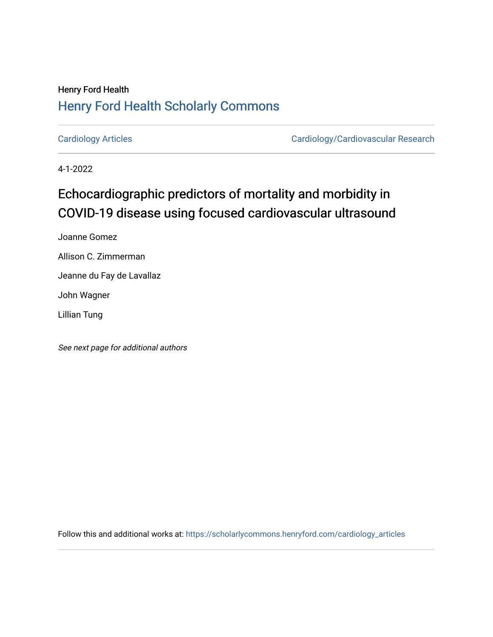# Henry Ford Health [Henry Ford Health Scholarly Commons](https://scholarlycommons.henryford.com/)

[Cardiology Articles](https://scholarlycommons.henryford.com/cardiology_articles) [Cardiology/Cardiovascular Research](https://scholarlycommons.henryford.com/cardiology) 

4-1-2022

# Echocardiographic predictors of mortality and morbidity in COVID-19 disease using focused cardiovascular ultrasound

Joanne Gomez

Allison C. Zimmerman

Jeanne du Fay de Lavallaz

John Wagner

Lillian Tung

See next page for additional authors

Follow this and additional works at: [https://scholarlycommons.henryford.com/cardiology\\_articles](https://scholarlycommons.henryford.com/cardiology_articles?utm_source=scholarlycommons.henryford.com%2Fcardiology_articles%2F918&utm_medium=PDF&utm_campaign=PDFCoverPages)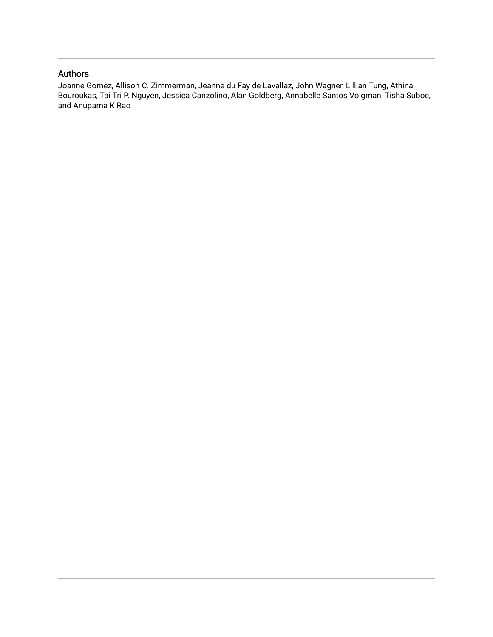### Authors

Joanne Gomez, Allison C. Zimmerman, Jeanne du Fay de Lavallaz, John Wagner, Lillian Tung, Athina Bouroukas, Tai Tri P. Nguyen, Jessica Canzolino, Alan Goldberg, Annabelle Santos Volgman, Tisha Suboc, and Anupama K Rao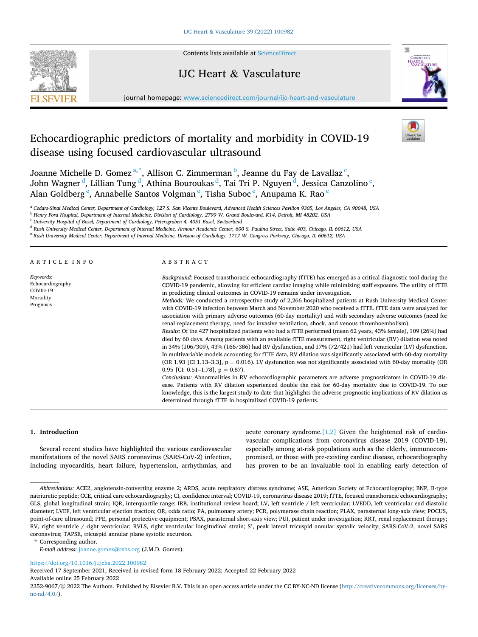

Contents lists available at [ScienceDirect](www.sciencedirect.com/science/journal/23529067)

### IJC Heart & Vasculature



journal homepage: [www.sciencedirect.com/journal/ijc-heart-and-vasculature](https://www.sciencedirect.com/journal/ijc-heart-and-vasculature) 

## Echocardiographic predictors of mortality and morbidity in COVID-19 disease using focused cardiovascular ultrasound

Joanne Michelle D. Gomez<sup>a,\*</sup>, Allison C. Zimmerman <sup>b</sup>, Jeanne du Fay de Lavallaz<sup>c</sup>, John Wagner  $^{\rm d}$ , Lillian Tung  $^{\rm d}$ , Athina Bouroukas  $^{\rm d}$ , Tai Tri P. Nguyen  $^{\rm d}$ , Jessica Canzolino  $^{\rm e}$ , Alan Goldberg <sup>e</sup>, Annabelle Santos Volgman <sup>e</sup>, Tisha Suboc <sup>e</sup>, Anupama K. Rao <sup>e</sup>

<sup>a</sup> *Cedars-Sinai Medical Center, Department of Cardiology, 127 S. San Vicente Boulevard, Advanced Health Sciences Pavilion 9305, Los Angeles, CA 90048, USA* 

<sup>b</sup> *Henry Ford Hospital, Department of Internal Medicine, Division of Cardiology, 2799 W. Grand Boulevard, K14, Detroit, MI 48202, USA* 

<sup>c</sup> *University Hospital of Basel, Department of Cardiology, Petersgraben 4, 4051 Basel, Switzerland* 

<sup>d</sup> *Rush University Medical Center, Department of Internal Medicine, Armour Academic Center, 600 S. Paulina Street, Suite 403, Chicago, IL 60612, USA* 

<sup>e</sup> *Rush University Medical Center, Department of Internal Medicine, Division of Cardiology, 1717 W. Congress Parkway, Chicago, IL 60612, USA* 

#### ARTICLE INFO *Keywords:*  Echocardiography COVID-19 Mortality Prognosis ABSTRACT *Background:* Focused transthoracic echocardiography (fTTE) has emerged as a critical diagnostic tool during the COVID-19 pandemic, allowing for efficient cardiac imaging while minimizing staff exposure. The utility of fTTE in predicting clinical outcomes in COVID-19 remains under investigation. *Methods:* We conducted a retrospective study of 2,266 hospitalized patients at Rush University Medical Center with COVID-19 infection between March and November 2020 who received a fTTE. fTTE data were analyzed for association with primary adverse outcomes (60-day mortality) and with secondary adverse outcomes (need for renal replacement therapy, need for invasive ventilation, shock, and venous thromboembolism). *Results:* Of the 427 hospitalized patients who had a fTTE performed (mean 62 years, 43% female), 109 (26%) had died by 60 days. Among patients with an available fTTE measurement, right ventricular (RV) dilation was noted in 34% (106/309), 43% (166/386) had RV dysfunction, and 17% (72/421) had left ventricular (LV) dysfunction. In multivariable models accounting for fTTE data, RV dilation was significantly associated with 60-day mortality (OR 1.93 [CI 1.13–3.3],  $p = 0.016$ ). LV dysfunction was not significantly associated with 60-day mortality (OR 0.95 [CI: 0.51–1.78],  $p = 0.87$ . *Conclusions:* Abnormalities in RV echocardiographic parameters are adverse prognosticators in COVID-19 disease. Patients with RV dilation experienced double the risk for 60-day mortality due to COVID-19. To our knowledge, this is the largest study to date that highlights the adverse prognostic implications of RV dilation as determined through fTTE in hospitalized COVID-19 patients.

#### **1. Introduction**

Several recent studies have highlighted the various cardiovascular manifestations of the novel SARS coronavirus (SARS-CoV-2) infection, including myocarditis, heart failure, hypertension, arrhythmias, and acute coronary syndrome. $[1,2]$  Given the heightened risk of cardiovascular complications from coronavirus disease 2019 (COVID-19), especially among at-risk populations such as the elderly, immunocompromised, or those with pre-existing cardiac disease, echocardiography has proven to be an invaluable tool in enabling early detection of

\* Corresponding author.

<https://doi.org/10.1016/j.ijcha.2022.100982>

Received 17 September 2021; Received in revised form 18 February 2022; Accepted 22 February 2022

Available online 25 February 2022

2352-9067/© 2022 The Authors. Published by Elsevier B.V. This is an open access article under the CC BY-NC-ND license([http://creativecommons.org/licenses/by](http://creativecommons.org/licenses/by-nc-nd/4.0/) $nc-nd/4.0/$ ).

*Abbreviations:* ACE2, angiotensin-converting enzyme 2; ARDS, acute respiratory distress syndrome; ASE, American Society of Echocardiography; BNP, B-type natriuretic peptide; CCE, critical care echocardiography; CI, confidence interval; COVID-19, coronavirus disease 2019; fTTE, focused transthoracic echocardiography; GLS, global longitudinal strain; IOR, interquartile range; IRB, institutional review board; LV, left ventrice / left ventricular; LVEDD, left ventricular end diastolic diameter; LVEF, left ventricular ejection fraction; OR, odds ratio; PA, pulmonary artery; PCR, polymerase chain reaction; PLAX, parasternal long-axis view; POCUS, point-of-care ultrasound; PPE, personal protective equipment; PSAX, parasternal short-axis view; PUI, patient under investigation; RRT, renal replacement therapy; RV, right ventricle / right ventricular; RVLS, right ventricular longitudinal strain; S', peak lateral tricuspid annular systolic velocity; SARS-CoV-2, novel SARS coronavirus; TAPSE, tricuspid annular plane systolic excursion.

*E-mail address:* [joanne.gomez@cshs.org](mailto:joanne.gomez@cshs.org) (J.M.D. Gomez).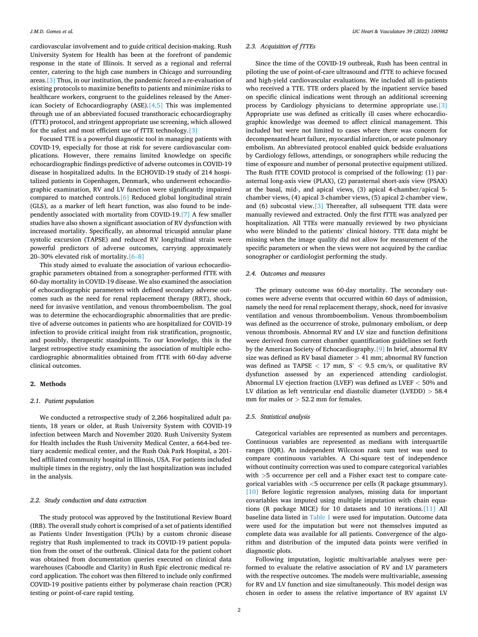cardiovascular involvement and to guide critical decision-making. Rush University System for Health has been at the forefront of pandemic response in the state of Illinois. It served as a regional and referral center, catering to the high case numbers in Chicago and surrounding areas[.\[3\]](#page-8-0) Thus, in our institution, the pandemic forced a re-evaluation of existing protocols to maximize benefits to patients and minimize risks to healthcare workers, congruent to the guidelines released by the American Society of Echocardiography (ASE)[.\[4,5\]](#page-8-0) This was implemented through use of an abbreviated focused transthoracic echocardiography (fTTE) protocol, and stringent appropriate use screening, which allowed for the safest and most efficient use of fTTE technology[.\[3\]](#page-8-0) 

Focused TTE is a powerful diagnostic tool in managing patients with COVID-19, especially for those at risk for severe cardiovascular complications. However, there remains limited knowledge on specific echocardiographic findings predictive of adverse outcomes in COVID-19 disease in hospitalized adults. In the ECHOVID-19 study of 214 hospitalized patients in Copenhagen, Denmark, who underwent echocardiographic examination, RV and LV function were significantly impaired compared to matched controls.[\[6\]](#page-8-0) Reduced global longitudinal strain (GLS), as a marker of left heart function, was also found to be independently associated with mortality from COVID-19.[\[7\]](#page-8-0) A few smaller studies have also shown a significant association of RV dysfunction with increased mortality. Specifically, an abnormal tricuspid annular plane systolic excursion (TAPSE) and reduced RV longitudinal strain were powerful predictors of adverse outcomes, carrying approximately 20–30% elevated risk of mortality[.\[6](#page-8-0)–8]

This study aimed to evaluate the association of various echocardiographic parameters obtained from a sonographer-performed fTTE with 60-day mortality in COVID-19 disease. We also examined the association of echocardiographic parameters with defined secondary adverse outcomes such as the need for renal replacement therapy (RRT), shock, need for invasive ventilation, and venous thromboembolism. The goal was to determine the echocardiographic abnormalities that are predictive of adverse outcomes in patients who are hospitalized for COVID-19 infection to provide critical insight from risk stratification, prognostic, and possibly, therapeutic standpoints. To our knowledge, this is the largest retrospective study examining the association of multiple echocardiographic abnormalities obtained from fTTE with 60-day adverse clinical outcomes.

#### **2. Methods**

#### *2.1. Patient population*

We conducted a retrospective study of 2,266 hospitalized adult patients, 18 years or older, at Rush University System with COVID-19 infection between March and November 2020. Rush University System for Health includes the Rush University Medical Center, a 664-bed tertiary academic medical center, and the Rush Oak Park Hospital, a 201 bed affiliated community hospital in Illinois, USA. For patients included multiple times in the registry, only the last hospitalization was included in the analysis.

#### *2.2. Study conduction and data extraction*

The study protocol was approved by the Institutional Review Board (IRB). The overall study cohort is comprised of a set of patients identified as Patients Under Investigation (PUIs) by a custom chronic disease registry that Rush implemented to track its COVID-19 patient population from the onset of the outbreak. Clinical data for the patient cohort was obtained from documentation queries executed on clinical data warehouses (Caboodle and Clarity) in Rush Epic electronic medical record application. The cohort was then filtered to include only confirmed COVID-19 positive patients either by polymerase chain reaction (PCR) testing or point-of-care rapid testing.

#### *2.3. Acquisition of fTTEs*

Since the time of the COVID-19 outbreak, Rush has been central in piloting the use of point-of-care ultrasound and fTTE to achieve focused and high-yield cardiovascular evaluations. We included all in-patients who received a TTE. TTE orders placed by the inpatient service based on specific clinical indications went through an additional screening process by Cardiology physicians to determine appropriate use[.\[3\]](#page-8-0)  Appropriate use was defined as critically ill cases where echocardiographic knowledge was deemed to affect clinical management. This included but were not limited to cases where there was concern for decompensated heart failure, myocardial infarction, or acute pulmonary embolism. An abbreviated protocol enabled quick bedside evaluations by Cardiology fellows, attendings, or sonographers while reducing the time of exposure and number of personal protective equipment utilized. The Rush fTTE COVID protocol is comprised of the following: (1) parasternal long-axis view (PLAX), (2) parasternal short-axis view (PSAX) at the basal, mid-, and apical views, (3) apical 4-chamber/apical 5 chamber views, (4) apical 3-chamber views, (5) apical 2-chamber view, and (6) subcostal view[.\[3\]](#page-8-0) Thereafter, all subsequent TTE data were manually reviewed and extracted. Only the first fTTE was analyzed per hospitalization. All TTEs were manually reviewed by two physicians who were blinded to the patients' clinical history. TTE data might be missing when the image quality did not allow for measurement of the specific parameters or when the views were not acquired by the cardiac sonographer or cardiologist performing the study.

#### *2.4. Outcomes and measures*

The primary outcome was 60-day mortality. The secondary outcomes were adverse events that occurred within 60 days of admission, namely the need for renal replacement therapy, shock, need for invasive ventilation and venous thromboembolism. Venous thromboembolism was defined as the occurrence of stroke, pulmonary embolism, or deep venous thrombosis. Abnormal RV and LV size and function definitions were derived from current chamber quantification guidelines set forth by the American Society of Echocardiography.[\[9\]](#page-8-0) In brief, abnormal RV size was defined as RV basal diameter *>* 41 mm; abnormal RV function was defined as TAPSE *<* 17 mm, S' *<* 9.5 cm/s, or qualitative RV dysfunction assessed by an experienced attending cardiologist. Abnormal LV ejection fraction (LVEF) was defined as LVEF *<* 50% and LV dilation as left ventricular end diastolic diameter (LVEDD) *>* 58.4 mm for males or *>* 52.2 mm for females.

#### *2.5. Statistical analysis*

Categorical variables are represented as numbers and percentages. Continuous variables are represented as medians with interquartile ranges (IQR). An independent Wilcoxon rank sum test was used to compare continuous variables. A Chi-square test of independence without continuity correction was used to compare categorical variables with *>*5 occurrence per cell and a Fisher exact test to compare categorical variables with *<*5 occurrence per cells (R package gtsummary). [\[10\]](#page-8-0) Before logistic regression analyses, missing data for important covariables was imputed using multiple imputation with chain equations (R package MICE) for 10 datasets and 10 iterations[.\[11\]](#page-8-0) All baseline data listed in [Table 1](#page-4-0) were used for imputation. Outcome data were used for the imputation but were not themselves imputed as complete data was available for all patients. Convergence of the algorithm and distribution of the imputed data points were verified in diagnostic plots.

Following imputation, logistic multivariable analyses were performed to evaluate the relative association of RV and LV parameters with the respective outcomes. The models were multivariable, assessing for RV and LV function and size simultaneously. This model design was chosen in order to assess the relative importance of RV against LV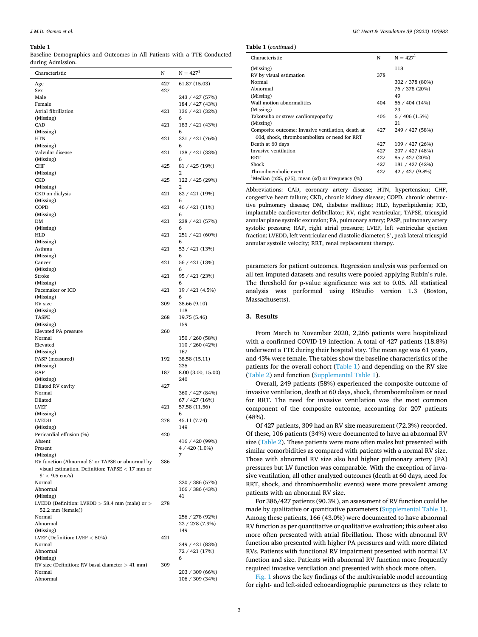#### <span id="page-4-0"></span>**Table 1**

Baseline Demographics and Outcomes in All Patients with a TTE Conducted during Admission.

| Characteristic                                                                                        | N          | $N = 4271$                         |
|-------------------------------------------------------------------------------------------------------|------------|------------------------------------|
| Age<br>Sex                                                                                            | 427<br>427 | 61.87 (15.03)                      |
| Male                                                                                                  |            | 243 / 427 (57%)                    |
| Female                                                                                                |            | 184 / 427 (43%)                    |
| Atrial fibrillation                                                                                   | 421        | 136 / 421 (32%)                    |
| (Missing)                                                                                             |            | 6                                  |
| CAD                                                                                                   | 421        | 183 / 421 (43%)                    |
|                                                                                                       |            | 6                                  |
| (Missing)<br><b>HTN</b>                                                                               | 421        | 321 / 421 (76%)                    |
|                                                                                                       |            |                                    |
| (Missing)<br>Valvular disease                                                                         | 421        | 6<br>138 / 421 (33%)               |
| (Missing)                                                                                             |            | 6                                  |
| <b>CHF</b>                                                                                            | 425        | 81 / 425 (19%)                     |
| (Missing)                                                                                             |            | 2                                  |
| <b>CKD</b>                                                                                            | 425        | 122 / 425 (29%)                    |
| (Missing)                                                                                             |            | 2                                  |
| CKD on dialysis                                                                                       | 421        | 82 / 421 (19%)                     |
| (Missing)                                                                                             |            | 6                                  |
| <b>COPD</b>                                                                                           | 421        | 46 / 421 (11%)                     |
| (Missing)                                                                                             |            | 6                                  |
| DM                                                                                                    | 421        | 238 / 421 (57%)                    |
| (Missing)                                                                                             |            | 6                                  |
| HLD                                                                                                   | 421        | 251 / 421 (60%)                    |
| (Missing)                                                                                             |            | 6                                  |
| Asthma                                                                                                | 421        | 53 / 421 (13%)                     |
| (Missing)                                                                                             |            | 6                                  |
| Cancer                                                                                                | 421        | 56 / 421 (13%)                     |
| (Missing)                                                                                             |            | 6                                  |
| Stroke                                                                                                | 421        | 95 / 421 (23%)                     |
| (Missing)                                                                                             |            | 6                                  |
| Pacemaker or ICD                                                                                      | 421        | 19 / 421 (4.5%)                    |
| (Missing)                                                                                             |            | 6                                  |
| RV size                                                                                               | 309        | 38.66 (9.10)                       |
| (Missing)                                                                                             |            | 118                                |
| <b>TASPE</b>                                                                                          | 268        | 19.75 (5.46)                       |
| (Missing)                                                                                             |            | 159                                |
| Elevated PA pressure                                                                                  | 260        |                                    |
| Normal                                                                                                |            | 150 / 260 (58%)                    |
| Elevated                                                                                              |            | 110 / 260 (42%)                    |
| (Missing)                                                                                             |            | 167                                |
| PASP (measured)                                                                                       | 192        | 38.58 (15.11)                      |
| (Missing)                                                                                             |            | 235                                |
| RAP                                                                                                   | 187        | 8.00 (3.00, 15.00)                 |
| (Missing)                                                                                             |            | 240                                |
| Dilated RV cavity                                                                                     | 427        |                                    |
| Normal                                                                                                |            | 360 / 427 (84%)                    |
| Dilated                                                                                               |            | 67 / 427 (16%)                     |
| <b>LVEF</b>                                                                                           | 421        | 57.58 (11.56)                      |
| (Missing)                                                                                             |            | 6                                  |
| <b>LVEDD</b>                                                                                          | 278        | 45.11 (7.74)                       |
| (Missing)                                                                                             |            | 149                                |
| Pericardial effusion (%)                                                                              | 420        |                                    |
| Absent                                                                                                |            | 416 / 420 (99%)                    |
| Present                                                                                               |            | $4/420(1.0\%)$                     |
| (Missing)                                                                                             |            | 7                                  |
| RV function (Abnormal S' or TAPSE or abnormal by<br>visual estimation. Definition: TAPSE $<$ 17 mm or | 386        |                                    |
| $S' < 9.5$ cm/s)<br>Normal                                                                            |            |                                    |
| Abnormal                                                                                              |            | 220 / 386 (57%)                    |
|                                                                                                       |            | 166 / 386 (43%)<br>41              |
| (Missing)<br>LVEDD (Definition: LVEDD $>$ 58.4 mm (male) or $>$                                       | 278        |                                    |
| 52.2 mm (female))                                                                                     |            |                                    |
| Normal                                                                                                |            |                                    |
| Abnormal                                                                                              |            | 256 / 278 (92%)<br>22 / 278 (7.9%) |
| (Missing)                                                                                             |            | 149                                |
| LVEF (Definition: LVEF $<$ 50%)                                                                       | 421        |                                    |
| Normal                                                                                                |            | 349 / 421 (83%)                    |
| Abnormal                                                                                              |            | 72 / 421 (17%)                     |
| (Missing)                                                                                             |            | 6                                  |
| RV size (Definition: RV basal diameter $> 41$ mm)                                                     | 309        |                                    |
| Normal                                                                                                |            | 203 / 309 (66%)                    |
| Abnormal                                                                                              |            | 106 / 309 (34%)                    |
|                                                                                                       |            |                                    |

|  | Table 1 (continued) |
|--|---------------------|
|--|---------------------|

| Characteristic                                                | N   | $N = 4271$      |
|---------------------------------------------------------------|-----|-----------------|
| (Missing)                                                     |     | 118             |
| RV by visual estimation                                       | 378 |                 |
| Normal                                                        |     | 302 / 378 (80%) |
| Abnormal                                                      |     | 76 / 378 (20%)  |
| (Missing)                                                     |     | 49              |
| Wall motion abnormalities                                     | 404 | 56 / 404 (14%)  |
| (Missing)                                                     |     | 23              |
| Takotsubo or stress cardiomyopathy                            | 406 | 6/406(1.5%)     |
| (Missing)                                                     |     | 21              |
| Composite outcome: Invasive ventilation, death at             | 427 | 249 / 427 (58%) |
| 60d, shock, thromboembolism or need for RRT                   |     |                 |
| Death at 60 days                                              | 427 | 109 / 427 (26%) |
| Invasive ventilation                                          | 427 | 207 / 427 (48%) |
| <b>RRT</b>                                                    | 427 | 85 / 427 (20%)  |
| Shock                                                         | 427 | 181 / 427 (42%) |
| Thromboembolic event                                          | 427 | 42 / 427 (9.8%) |
| <sup>1</sup> Median (p25, p75), mean (sd) or Frequency $(\%)$ |     |                 |

Abbreviations: CAD, coronary artery disease; HTN, hypertension; CHF, congestive heart failure; CKD, chronic kidney disease; COPD, chronic obstructive pulmonary disease; DM, diabetes mellitus; HLD, hyperlipidemia; ICD, implantable cardioverter defibrillator; RV, right ventricular; TAPSE, tricuspid annular plane systolic excursion; PA, pulmonary artery; PASP, pulmonary artery systolic pressure; RAP, right atrial pressure; LVEF, left ventricular ejection fraction; LVEDD, left ventricular end diastolic diameter; S', peak lateral tricuspid annular systolic velocity; RRT, renal replacement therapy.

parameters for patient outcomes. Regression analysis was performed on all ten imputed datasets and results were pooled applying Rubin's rule. The threshold for p-value significance was set to 0.05. All statistical analysis was performed using RStudio version 1.3 (Boston, Massachusetts).

#### **3. Results**

From March to November 2020, 2,266 patients were hospitalized with a confirmed COVID-19 infection. A total of 427 patients (18.8%) underwent a TTE during their hospital stay. The mean age was 61 years, and 43% were female. The tables show the baseline characteristics of the patients for the overall cohort (Table 1) and depending on the RV size ([Table 2](#page-5-0)) and function (Supplemental Table 1).

Overall, 249 patients (58%) experienced the composite outcome of invasive ventilation, death at 60 days, shock, thromboembolism or need for RRT. The need for invasive ventilation was the most common component of the composite outcome, accounting for 207 patients (48%).

Of 427 patients, 309 had an RV size measurement (72.3%) recorded. Of these, 106 patients (34%) were documented to have an abnormal RV size ([Table 2\)](#page-5-0). These patients were more often males but presented with similar comorbidities as compared with patients with a normal RV size. Those with abnormal RV size also had higher pulmonary artery (PA) pressures but LV function was comparable. With the exception of invasive ventilation, all other analyzed outcomes (death at 60 days, need for RRT, shock, and thromboembolic events) were more prevalent among patients with an abnormal RV size.

For 386/427 patients (90.3%), an assessment of RV function could be made by qualitative or quantitative parameters (Supplemental Table 1). Among these patients, 166 (43.0%) were documented to have abnormal RV function as per quantitative or qualitative evaluation; this subset also more often presented with atrial fibrillation. Those with abnormal RV function also presented with higher PA pressures and with more dilated RVs. Patients with functional RV impairment presented with normal LV function and size. Patients with abnormal RV function more frequently required invasive ventilation and presented with shock more often.

[Fig. 1](#page-7-0) shows the key findings of the multivariable model accounting for right- and left-sided echocardiographic parameters as they relate to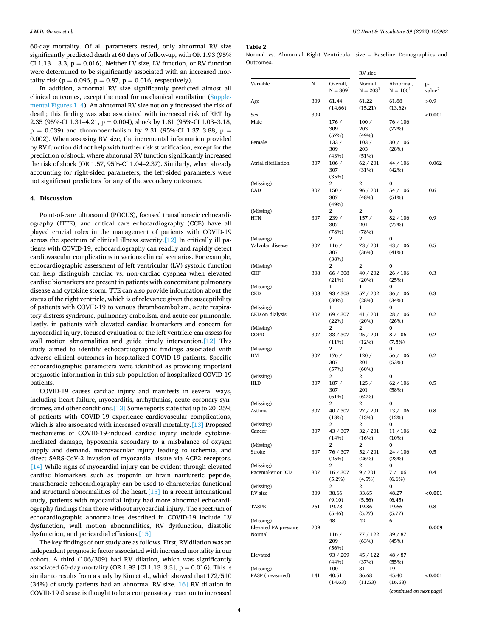<span id="page-5-0"></span>60-day mortality. Of all parameters tested, only abnormal RV size significantly predicted death at 60 days of follow-up, with OR 1.93 (95% CI  $1.13 - 3.3$ ,  $p = 0.016$ ). Neither LV size, LV function, or RV function were determined to be significantly associated with an increased mortality risk ( $p = 0.096$ ,  $p = 0.87$ ,  $p = 0.016$ , respectively).

In addition, abnormal RV size significantly predicted almost all clinical outcomes, except the need for mechanical ventilation (Supplemental Figures 1–4). An abnormal RV size not only increased the risk of death; this finding was also associated with increased risk of RRT by 2.35 (95%-CI 1.31–4.21, p = 0.004), shock by 1.81 (95%-CI 1.03–3.18,  $p = 0.039$ ) and thromboembolism by 2.31 (95%-CI 1.37-3.88,  $p =$ 0.002). When assessing RV size, the incremental information provided by RV function did not help with further risk stratification, except for the prediction of shock, where abnormal RV function significantly increased the risk of shock (OR 1.57, 95%-CI 1.04–2.37). Similarly, when already accounting for right-sided parameters, the left-sided parameters were not significant predictors for any of the secondary outcomes.

#### **4. Discussion**

Point-of-care ultrasound (POCUS), focused transthoracic echocardiography (fTTE), and critical care echocardiography (CCE) have all played crucial roles in the management of patients with COVID-19 across the spectrum of clinical illness severity.[\[12\]](#page-8-0) In critically ill patients with COVID-19, echocardiography can readily and rapidly detect cardiovascular complications in various clinical scenarios. For example, echocardiographic assessment of left ventricular (LV) systolic function can help distinguish cardiac vs. non-cardiac dyspnea when elevated cardiac biomarkers are present in patients with concomitant pulmonary disease and cytokine storm. TTE can also provide information about the status of the right ventricle, which is of relevance given the susceptibility of patients with COVID-19 to venous thromboembolism, acute respiratory distress syndrome, pulmonary embolism, and acute cor pulmonale. Lastly, in patients with elevated cardiac biomarkers and concern for myocardial injury, focused evaluation of the left ventricle can assess for wall motion abnormalities and guide timely intervention.<sup>[\[12\]](#page-8-0)</sup> This study aimed to identify echocardiographic findings associated with adverse clinical outcomes in hospitalized COVID-19 patients. Specific echocardiographic parameters were identified as providing important prognostic information in this sub-population of hospitalized COVID-19 patients.

COVID-19 causes cardiac injury and manifests in several ways, including heart failure, myocarditis, arrhythmias, acute coronary syndromes, and other conditions[.\[13\]](#page-8-0) Some reports state that up to 20–25% of patients with COVID-19 experience cardiovascular complications, which is also associated with increased overall mortality.<sup>[13]</sup> Proposed mechanisms of COVID-19-induced cardiac injury include cytokinemediated damage, hypoxemia secondary to a misbalance of oxygen supply and demand, microvascular injury leading to ischemia, and direct SARS-CoV-2 invasion of myocardial tissue via ACE2 receptors. [\[14\]](#page-8-0) While signs of myocardial injury can be evident through elevated cardiac biomarkers such as troponin or brain natriuretic peptide, transthoracic echocardiography can be used to characterize functional and structural abnormalities of the heart[.\[15\]](#page-8-0) In a recent international study, patients with myocardial injury had more abnormal echocardiography findings than those without myocardial injury. The spectrum of echocardiographic abnormalities described in COVID-19 include LV dysfunction, wall motion abnormalities, RV dysfunction, diastolic dysfunction, and pericardial effusions.[\[15\]](#page-8-0) 

The key findings of our study are as follows. First, RV dilation was an independent prognostic factor associated with increased mortality in our cohort. A third (106/309) had RV dilation, which was significantly associated 60-day mortality (OR 1.93 [CI 1.13-3.3],  $p = 0.016$ ). This is similar to results from a study by Kim et al., which showed that 172/510 (34%) of study patients had an abnormal RV size. $[16]$  RV dilation in COVID-19 disease is thought to be a compensatory reaction to increased

**Table 2** 

|           |  |  |  | Normal vs. Abnormal Right Ventricular size – Baseline Demographics and |  |
|-----------|--|--|--|------------------------------------------------------------------------|--|
| Outcomes. |  |  |  |                                                                        |  |

|                              |     |                        | RV size                  |                         |                          |
|------------------------------|-----|------------------------|--------------------------|-------------------------|--------------------------|
| Variable                     | N   | Overall,<br>$N = 3091$ | Normal,<br>$\rm N=203^1$ | Abnormal,<br>$N = 1061$ | p-<br>value <sup>2</sup> |
| Age                          | 309 | 61.44<br>(14.66)       | 61.22<br>(15.21)         | 61.88<br>(13.62)        | >0.9                     |
| Sex                          | 309 |                        |                          |                         | < 0.001                  |
| Male                         |     | 176 /                  | 100/                     | 76 / 106                |                          |
|                              |     | 309                    | 203                      | (72%)                   |                          |
|                              |     | (57%)                  | (49%)                    |                         |                          |
| Female                       |     | 133 /                  | 103/                     | 30 / 106                |                          |
|                              |     | 309                    | 203                      | (28%)                   |                          |
| Atrial fibrillation          | 307 | (43%)<br>106/          | (51%)<br>62 / 201        | 44 / 106                | 0.062                    |
|                              |     | 307                    | (31%)                    | (42%)                   |                          |
|                              |     | (35%)                  |                          |                         |                          |
| (Missing)                    |     | 2                      | 2                        | 0                       |                          |
| CAD                          | 307 | 150/                   | 96 / 201                 | 54 / 106                | 0.6                      |
|                              |     | 307                    | (48%)                    | (51%)                   |                          |
|                              |     | (49%)                  |                          |                         |                          |
| (Missing)<br>HTN             |     | 2<br>239/              | 2<br>157/                | 0                       |                          |
|                              | 307 | 307                    | 201                      | 82 / 106<br>(77%)       | 0.9                      |
|                              |     | (78%)                  | (78%)                    |                         |                          |
| (Missing)                    |     | 2                      | 2                        | 0                       |                          |
| Valvular disease             | 307 | 116 /                  | 73 / 201                 | 43 / 106                | 0.5                      |
|                              |     | 307                    | (36%)                    | (41%)                   |                          |
|                              |     | (38%)                  |                          |                         |                          |
| (Missing)                    |     | 2                      | 2                        | 0                       |                          |
| CHF                          | 308 | 66 / 308               | 40 / 202<br>(20%)        | 26 / 106<br>(25%)       | 0.3                      |
| (Missing)                    |     | (21%)<br>1             | 1                        | 0                       |                          |
| <b>CKD</b>                   | 308 | 93 / 308               | 57 / 202                 | 36 / 106                | 0.3                      |
|                              |     | (30%)                  | (28%)                    | (34%)                   |                          |
| (Missing)                    |     | 1                      | 1                        | 0                       |                          |
| CKD on dialysis              | 307 | 69 / 307               | 41 / 201                 | 28 / 106                | 0.2                      |
|                              |     | (22%)                  | (20%)                    | (26%)                   |                          |
| (Missing)                    |     | 2                      | 2                        | 0                       |                          |
| COPD                         | 307 | 33 / 307<br>(11%)      | 25 / 201<br>(12%)        | 8 / 106<br>(7.5%)       | $_{0.2}$                 |
| (Missing)                    |     | 2                      | 2                        | 0                       |                          |
| DM                           | 307 | 176 /                  | 120/                     | 56 / 106                | 0.2                      |
|                              |     | 307                    | 201                      | (53%)                   |                          |
|                              |     | (57%)                  | (60%)                    |                         |                          |
| (Missing)                    |     | 2                      | 2                        | $\mathbf{0}$            |                          |
| HLD                          | 307 | 187 /                  | 125 /                    | 62 / 106                | 0.5                      |
|                              |     | 307<br>(61%)           | 201<br>(62%)             | (58%)                   |                          |
| (Missing)                    |     | 2                      | 2                        | 0                       |                          |
| Asthma                       | 307 | 40 / 307               | 27 / 201                 | 13 / 106                | 0.8                      |
|                              |     | (13%)                  | (13%)                    | (12%)                   |                          |
| (Missing)                    |     | 2                      | 2                        | 0                       |                          |
| Cancer                       | 307 | 43 / 307               | 32 / 201                 | 11 / 106                | $_{0.2}$                 |
|                              |     | (14%)                  | (16%)                    | (10%)                   |                          |
| (Missing)<br>Stroke          | 307 | 2<br>76 / 307          | 2<br>52 / 201            | 0<br>24 / 106           | 0.5                      |
|                              |     | (25%)                  | (26%)                    | (23%)                   |                          |
| (Missing)                    |     | 2                      | 2                        | 0                       |                          |
| Pacemaker or ICD             | 307 | 16 / 307               | 9 / 201                  | 7 / 106                 | 0.4                      |
|                              |     | $(5.2\%)$              | $(4.5\%)$                | $(6.6\%)$               |                          |
| (Missing)                    |     | 2                      | 2                        | 0                       |                          |
| RV size                      | 309 | 38.66                  | 33.65                    | 48.27                   | < 0.001                  |
|                              |     | (9.10)                 | (5.56)                   | (6.45)                  | 0.8                      |
| TASPE                        | 261 | 19.78<br>(5.46)        | 19.86<br>(5.27)          | 19.66<br>(5.77)         |                          |
| (Missing)                    |     | 48                     | 42                       | 6                       |                          |
| <b>Elevated PA pressure</b>  | 209 |                        |                          |                         | 0.009                    |
| Normal                       |     | 116/                   | 77 / 122                 | 39 / 87                 |                          |
|                              |     | 209                    | (63%)                    | (45%)                   |                          |
|                              |     | (56%)                  |                          |                         |                          |
| Elevated                     |     | 93 / 209               | 45 / 122                 | 48 / 87                 |                          |
|                              |     | (44%)                  | (37%)                    | (55%)                   |                          |
| (Missing)<br>PASP (measured) | 141 | 100<br>40.51           | 81<br>36.68              | 19<br>45.40             | < 0.001                  |
|                              |     | (14.63)                | (11.53)                  | (16.68)                 |                          |
|                              |     |                        |                          |                         |                          |

(*continued on next page*)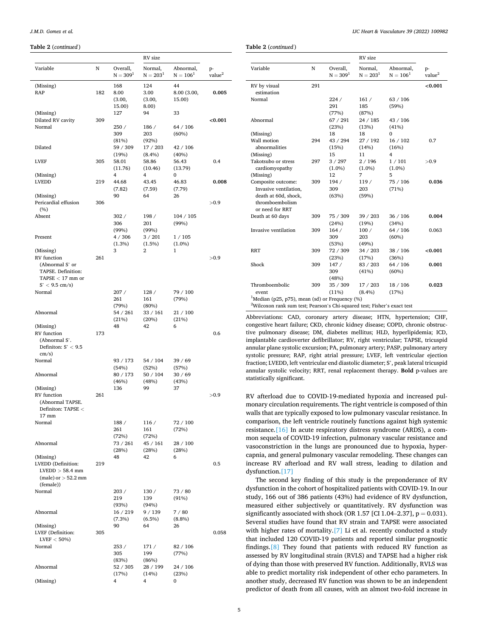#### **Table 2** (*continued* )

|                                                                                                |     |                                            | RV size                                        |                                      |                          |
|------------------------------------------------------------------------------------------------|-----|--------------------------------------------|------------------------------------------------|--------------------------------------|--------------------------|
| Variable                                                                                       | N   | Overall,<br>$N = 3091$                     | Normal,<br>$N = 2031$                          | Abnormal,<br>$N = 1061$              | p-<br>value <sup>2</sup> |
| (Missing)<br>RAP                                                                               | 182 | 168<br>8.00<br>(3.00,<br>15.00)            | 124<br>3.00<br>(3.00,<br>8.00)                 | 44<br>8.00 (3.00,<br>15.00)          | 0.005                    |
| (Missing)<br>Dilated RV cavity<br>Normal                                                       | 309 | 127<br>250/                                | 94<br>186 /                                    | 33<br>64 / 106                       | < 0.001                  |
| Dilated<br><b>LVEF</b>                                                                         | 305 | 309<br>(81%)<br>59 / 309<br>(19%)<br>58.01 | 203<br>(92%)<br>17 / 203<br>$(8.4\%)$<br>58.86 | $(60\%)$<br>42/106<br>(40%)<br>56.43 | 0.4                      |
| (Missing)<br><b>LVEDD</b>                                                                      | 219 | (11.76)<br>4<br>44.68                      | (10.46)<br>4<br>43.45                          | (13.79)<br>0<br>46.83                | 0.008                    |
| (Missing)<br>Pericardial effusion                                                              | 306 | (7.82)<br>90                               | (7.59)<br>64                                   | (7.79)<br>26                         |                          |
| (9/6)<br>Absent                                                                                |     | 302/                                       | 198 /                                          | 104 / 105                            | >0.9                     |
| Present                                                                                        |     | 306<br>(99%)<br>4/306                      | 201<br>(99%)<br>3/201                          | (99%)<br>1 / 105                     |                          |
| (Missing)                                                                                      |     | $(1.3\%)$<br>3                             | $(1.5\%)$<br>2                                 | $(1.0\%)$<br>1                       | >0.9                     |
| RV function<br>(Abnormal S' or<br>TAPSE. Definition:<br>TAPSE $<$ 17 mm or<br>$S' < 9.5$ cm/s) | 261 |                                            |                                                |                                      |                          |
| Normal                                                                                         |     | 207/<br>261<br>(79%)                       | 128/<br>161<br>(80%)                           | 79 / 100<br>(79%)                    |                          |
| Abnormal                                                                                       |     | 54 / 261<br>(21%)                          | 33 / 161<br>(20%)                              | 21/100<br>(21%)                      |                          |
| (Missing)<br>RV function<br>(Abnormal S'.<br>Definiton: $S' < 9.5$<br>cm/s)                    | 173 | 48                                         | 42                                             | 6                                    | 0.6                      |
| Normal                                                                                         |     | 93 / 173<br>(54%)                          | 54 / 104<br>(52%)                              | 39 / 69<br>(57%)                     |                          |
| Abnormal<br>(Missing)                                                                          |     | 80 / 173<br>(46%)<br>136                   | 50 / 104<br>(48%)<br>99                        | 30 / 69<br>(43%)<br>37               |                          |
| RV function<br>(Abnormal TAPSE.<br>Definiton: TAPSE <<br>$17 \text{ mm}$                       | 261 |                                            |                                                |                                      | >0.9                     |
| Normal                                                                                         |     | 188/<br>261<br>(72%)                       | 116 /<br>161<br>(72%)                          | 72 / 100<br>(72%)                    |                          |
| Abnormal<br>(Missing)                                                                          |     | 73 / 261<br>(28%)<br>48                    | 45 / 161<br>(28%)<br>42                        | 28 / 100<br>(28%)<br>6               |                          |
| LVEDD (Definition:<br>$LVEDD > 58.4$ mm<br>(male) or $>$ 52.2 mm<br>(female))                  | 219 |                                            |                                                |                                      | 0.5                      |
| Normal                                                                                         |     | 203/<br>219<br>(93%)                       | 130/<br>139<br>(94%)                           | 73 / 80<br>(91%)                     |                          |
| Abnormal                                                                                       |     | 16 / 219<br>$(7.3\%)$                      | 9 / 139<br>$(6.5\%)$                           | 7/80<br>$(8.8\%)$                    |                          |
| (Missing)<br>LVEF (Definition:<br>$LVEF < 50\%)$                                               | 305 | 90                                         | 64                                             | 26                                   | 0.058                    |
| Normal                                                                                         |     | 253/<br>305<br>(83%)                       | 171 /<br>199<br>(86%)                          | 82 / 106<br>(77%)                    |                          |
| Abnormal<br>(Missing)                                                                          |     | 52 / 305<br>(17%)<br>4                     | 28 / 199<br>(14%)<br>4                         | 24 / 106<br>(23%)<br>0               |                          |
|                                                                                                |     |                                            |                                                |                                      |                          |

**Table 2** (*continued* )

|                                                                                                           |     |                        | RV size               |                         |                          |  |
|-----------------------------------------------------------------------------------------------------------|-----|------------------------|-----------------------|-------------------------|--------------------------|--|
| Variable                                                                                                  | N   | Overall,<br>$N = 3091$ | Normal,<br>$N = 2031$ | Abnormal,<br>$N = 1061$ | p-<br>value <sup>2</sup> |  |
| RV by visual<br>estimation                                                                                | 291 |                        |                       |                         | < 0.001                  |  |
| Normal                                                                                                    |     | 224/<br>291<br>(77%)   | 161/<br>185<br>(87%)  | 63/106<br>(59%)         |                          |  |
| Abnormal                                                                                                  |     | 67/291<br>(23%)        | 24/185<br>(13%)       | 43 / 106<br>(41%)       |                          |  |
| (Missing)                                                                                                 |     | 18                     | 18                    | $\Omega$                |                          |  |
| Wall motion<br>abnormalities                                                                              | 294 | 43 / 294<br>(15%)      | 27/192<br>(14%)       | 16/102<br>(16%)         | 0.7                      |  |
| (Missing)                                                                                                 |     | 15                     | 11                    | 4                       |                          |  |
| Takotsubo or stress<br>cardiomyopathy                                                                     | 297 | 3 / 297<br>$(1.0\%)$   | 2/196<br>$(1.0\%)$    | 1/101<br>$(1.0\%)$      | >0.9                     |  |
| (Missing)                                                                                                 |     | 12                     | 7                     | 5                       |                          |  |
| Composite outcome:<br>Invasive ventilation,<br>death at 60d, shock,<br>thromboembolism<br>or need for RRT | 309 | 194/<br>309<br>(63%)   | 119/<br>203<br>(59%)  | 75 / 106<br>(71%)       | 0.036                    |  |
| Death at 60 days                                                                                          | 309 | 75 / 309<br>(24%)      | 39/203<br>(19%)       | 36 / 106<br>(34%)       | 0.004                    |  |
| Invasive ventilation                                                                                      | 309 | 164/<br>309<br>(53%)   | 100/<br>203<br>(49%)  | 64 / 106<br>(60%)       | 0.063                    |  |
| <b>RRT</b>                                                                                                | 309 | 72 / 309<br>(23%)      | 34 / 203<br>(17%)     | 38 / 106<br>(36%)       | ${<}0.001$               |  |
| Shock                                                                                                     | 309 | 147/<br>309<br>(48%)   | 83 / 203<br>(41%)     | 64 / 106<br>(60%)       | 0.001                    |  |
| Thromboembolic<br>event                                                                                   | 309 | 35 / 309<br>(11%)      | 17 / 203<br>$(8.4\%)$ | 18/106<br>(17%)         | 0.023                    |  |
| <sup>1</sup> Median (p25, p75), mean (sd) or Frequency (%)                                                |     |                        |                       |                         |                          |  |
| <sup>2</sup> Wilcoxon rank sum test; Pearson's Chi-squared test; Fisher's exact test                      |     |                        |                       |                         |                          |  |

Abbreviations: CAD, coronary artery disease; HTN, hypertension; CHF, congestive heart failure; CKD, chronic kidney disease; COPD, chronic obstructive pulmonary disease; DM, diabetes mellitus; HLD, hyperlipidemia; ICD, implantable cardioverter defibrillator; RV, right ventricular; TAPSE, tricuspid annular plane systolic excursion; PA, pulmonary artery; PASP, pulmonary artery systolic pressure; RAP, right atrial pressure; LVEF, left ventricular ejection fraction; LVEDD, left ventricular end diastolic diameter; S', peak lateral tricuspid annular systolic velocity; RRT, renal replacement therapy. **Bold** p-values are statistically significant.

RV afterload due to COVID-19-mediated hypoxia and increased pulmonary circulation requirements. The right ventricle is composed of thin walls that are typically exposed to low pulmonary vascular resistance. In comparison, the left ventricle routinely functions against high systemic resistance.[\[16\]](#page-8-0) In acute respiratory distress syndrome (ARDS), a common sequela of COVID-19 infection, pulmonary vascular resistance and vasoconstriction in the lungs are pronounced due to hypoxia, hypercapnia, and general pulmonary vascular remodeling. These changes can increase RV afterload and RV wall stress, leading to dilation and dysfunction[.\[17\]](#page-8-0) 

The second key finding of this study is the preponderance of RV dysfunction in the cohort of hospitalized patients with COVID-19. In our study, 166 out of 386 patients (43%) had evidence of RV dysfunction, measured either subjectively or quantitatively. RV dysfunction was significantly associated with shock (OR 1.57 [CI 1.04–2.37],  $p = 0.031$ ). Several studies have found that RV strain and TAPSE were associated with higher rates of mortality.<sup>[\[7\]](#page-8-0)</sup> Li et al. recently conducted a study that included 120 COVID-19 patients and reported similar prognostic findings[.\[8\]](#page-8-0) They found that patients with reduced RV function as assessed by RV longitudinal strain (RVLS) and TAPSE had a higher risk of dying than those with preserved RV function. Additionally, RVLS was able to predict mortality risk independent of other echo parameters. In another study, decreased RV function was shown to be an independent predictor of death from all causes, with an almost two-fold increase in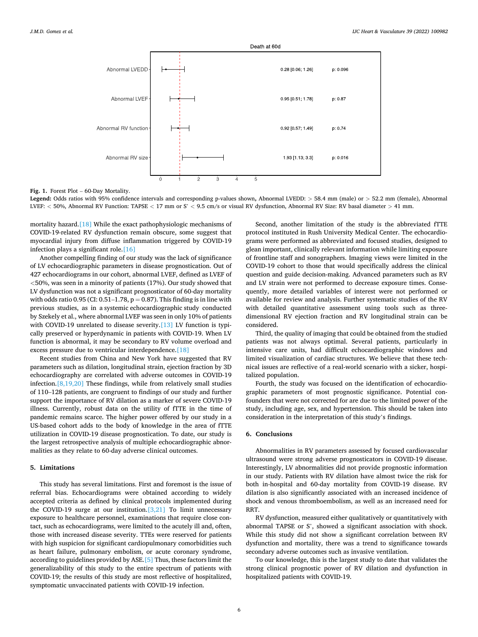<span id="page-7-0"></span>

**Fig. 1.** Forest Plot – 60-Day Mortality.

**Legend:** Odds ratios with 95% confidence intervals and corresponding p-values shown**,** Abnormal LVEDD: *>* 58.4 mm (male) or *>* 52.2 mm (female), Abnormal LVEF: *<* 50%, Abnormal RV Function: TAPSE *<* 17 mm or S' *<* 9.5 cm/s or visual RV dysfunction, Abnormal RV Size: RV basal diameter *>* 41 mm.

mortality hazard.[\[18\]](#page-8-0) While the exact pathophysiologic mechanisms of COVID-19-related RV dysfunction remain obscure, some suggest that myocardial injury from diffuse inflammation triggered by COVID-19 infection plays a significant role[.\[16\]](#page-8-0)

Another compelling finding of our study was the lack of significance of LV echocardiographic parameters in disease prognostication. Out of 427 echocardiograms in our cohort, abnormal LVEF, defined as LVEF of *<*50%, was seen in a minority of patients (17%). Our study showed that LV dysfunction was not a significant prognosticator of 60-day mortality with odds ratio 0.95 (CI: 0.51–1.78,  $p = 0.87$ ). This finding is in line with previous studies, as in a systemic echocardiographic study conducted by Szekely et al., where abnormal LVEF was seen in only 10% of patients with COVID-19 unrelated to disease severity.<sup>[13]</sup> LV function is typically preserved or hyperdynamic in patients with COVID-19. When LV function is abnormal, it may be secondary to RV volume overload and excess pressure due to ventricular interdependence.<sup>[18]</sup>

Recent studies from China and New York have suggested that RV parameters such as dilation, longitudinal strain, ejection fraction by 3D echocardiography are correlated with adverse outcomes in COVID-19 infection.[\[8,19,20\]](#page-8-0) These findings, while from relatively small studies of 110–128 patients, are congruent to findings of our study and further support the importance of RV dilation as a marker of severe COVID-19 illness. Currently, robust data on the utility of fTTE in the time of pandemic remains scarce. The higher power offered by our study in a US-based cohort adds to the body of knowledge in the area of fTTE utilization in COVID-19 disease prognostication. To date, our study is the largest retrospective analysis of multiple echocardiographic abnormalities as they relate to 60-day adverse clinical outcomes.

#### **5. Limitations**

This study has several limitations. First and foremost is the issue of referral bias. Echocardiograms were obtained according to widely accepted criteria as defined by clinical protocols implemented during the COVID-19 surge at our institution. $[3,21]$  To limit unnecessary exposure to healthcare personnel, examinations that require close contact, such as echocardiograms, were limited to the acutely ill and, often, those with increased disease severity. TTEs were reserved for patients with high suspicion for significant cardiopulmonary comorbidities such as heart failure, pulmonary embolism, or acute coronary syndrome, according to guidelines provided by ASE.[\[5\]](#page-8-0) Thus, these factors limit the generalizability of this study to the entire spectrum of patients with COVID-19; the results of this study are most reflective of hospitalized, symptomatic unvaccinated patients with COVID-19 infection.

Second, another limitation of the study is the abbreviated fTTE protocol instituted in Rush University Medical Center. The echocardiograms were performed as abbreviated and focused studies, designed to glean important, clinically relevant information while limiting exposure of frontline staff and sonographers. Imaging views were limited in the COVID-19 cohort to those that would specifically address the clinical question and guide decision-making. Advanced parameters such as RV and LV strain were not performed to decrease exposure times. Consequently, more detailed variables of interest were not performed or available for review and analysis. Further systematic studies of the RV with detailed quantitative assessment using tools such as threedimensional RV ejection fraction and RV longitudinal strain can be considered.

Third, the quality of imaging that could be obtained from the studied patients was not always optimal. Several patients, particularly in intensive care units, had difficult echocardiographic windows and limited visualization of cardiac structures. We believe that these technical issues are reflective of a real-world scenario with a sicker, hospitalized population.

Fourth, the study was focused on the identification of echocardiographic parameters of most prognostic significance. Potential confounders that were not corrected for are due to the limited power of the study, including age, sex, and hypertension. This should be taken into consideration in the interpretation of this study's findings.

#### **6. Conclusions**

Abnormalities in RV parameters assessed by focused cardiovascular ultrasound were strong adverse prognosticators in COVID-19 disease. Interestingly, LV abnormalities did not provide prognostic information in our study. Patients with RV dilation have almost twice the risk for both in-hospital and 60-day mortality from COVID-19 disease. RV dilation is also significantly associated with an increased incidence of shock and venous thromboembolism, as well as an increased need for RRT.

RV dysfunction, measured either qualitatively or quantitatively with abnormal TAPSE or S', showed a significant association with shock. While this study did not show a significant correlation between RV dysfunction and mortality, there was a trend to significance towards secondary adverse outcomes such as invasive ventilation.

To our knowledge, this is the largest study to date that validates the strong clinical prognostic power of RV dilation and dysfunction in hospitalized patients with COVID-19.